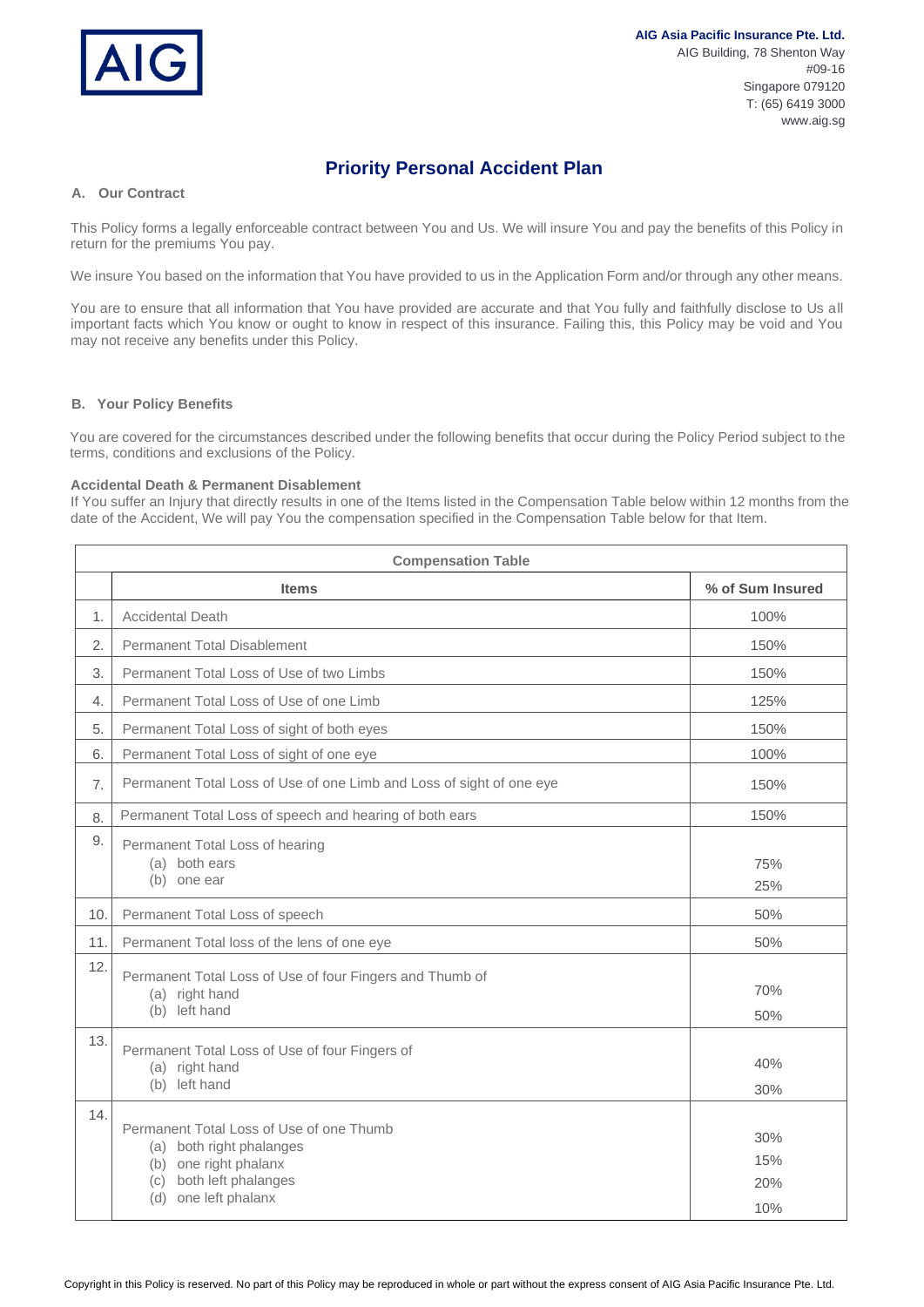

# **Priority Personal Accident Plan**

## **A. Our Contract**

This Policy forms a legally enforceable contract between You and Us. We will insure You and pay the benefits of this Policy in return for the premiums You pay.

We insure You based on the information that You have provided to us in the Application Form and/or through any other means.

You are to ensure that all information that You have provided are accurate and that You fully and faithfully disclose to Us all important facts which You know or ought to know in respect of this insurance. Failing this, this Policy may be void and You may not receive any benefits under this Policy.

## **B. Your Policy Benefits**

You are covered for the circumstances described under the following benefits that occur during the Policy Period subject to the terms, conditions and exclusions of the Policy.

## **Accidental Death & Permanent Disablement**

If You suffer an Injury that directly results in one of the Items listed in the Compensation Table below within 12 months from the date of the Accident, We will pay You the compensation specified in the Compensation Table below for that Item.

| <b>Compensation Table</b> |                                                                                                                                                        |                          |  |
|---------------------------|--------------------------------------------------------------------------------------------------------------------------------------------------------|--------------------------|--|
|                           | <b>Items</b>                                                                                                                                           | % of Sum Insured         |  |
| 1.                        | <b>Accidental Death</b>                                                                                                                                | 100%                     |  |
| 2.                        | <b>Permanent Total Disablement</b>                                                                                                                     | 150%                     |  |
| 3.                        | Permanent Total Loss of Use of two Limbs                                                                                                               | 150%                     |  |
| 4.                        | Permanent Total Loss of Use of one Limb                                                                                                                | 125%                     |  |
| 5.                        | Permanent Total Loss of sight of both eyes                                                                                                             | 150%                     |  |
| 6.                        | Permanent Total Loss of sight of one eye                                                                                                               | 100%                     |  |
| 7.                        | Permanent Total Loss of Use of one Limb and Loss of sight of one eye                                                                                   | 150%                     |  |
| 8.                        | Permanent Total Loss of speech and hearing of both ears                                                                                                | 150%                     |  |
| 9.                        | Permanent Total Loss of hearing<br>(a) both ears<br>(b) one ear                                                                                        | 75%<br>25%               |  |
| 10.                       | Permanent Total Loss of speech                                                                                                                         | 50%                      |  |
| 11.                       | Permanent Total loss of the lens of one eye                                                                                                            | 50%                      |  |
| 12.                       | Permanent Total Loss of Use of four Fingers and Thumb of<br>(a) right hand<br>(b) left hand                                                            | 70%<br>50%               |  |
| 13.                       | Permanent Total Loss of Use of four Fingers of<br>(a) right hand<br>(b) left hand                                                                      | 40%<br>30%               |  |
| 14.                       | Permanent Total Loss of Use of one Thumb<br>(a) both right phalanges<br>(b) one right phalanx<br>both left phalanges<br>(c)<br>one left phalanx<br>(d) | 30%<br>15%<br>20%<br>10% |  |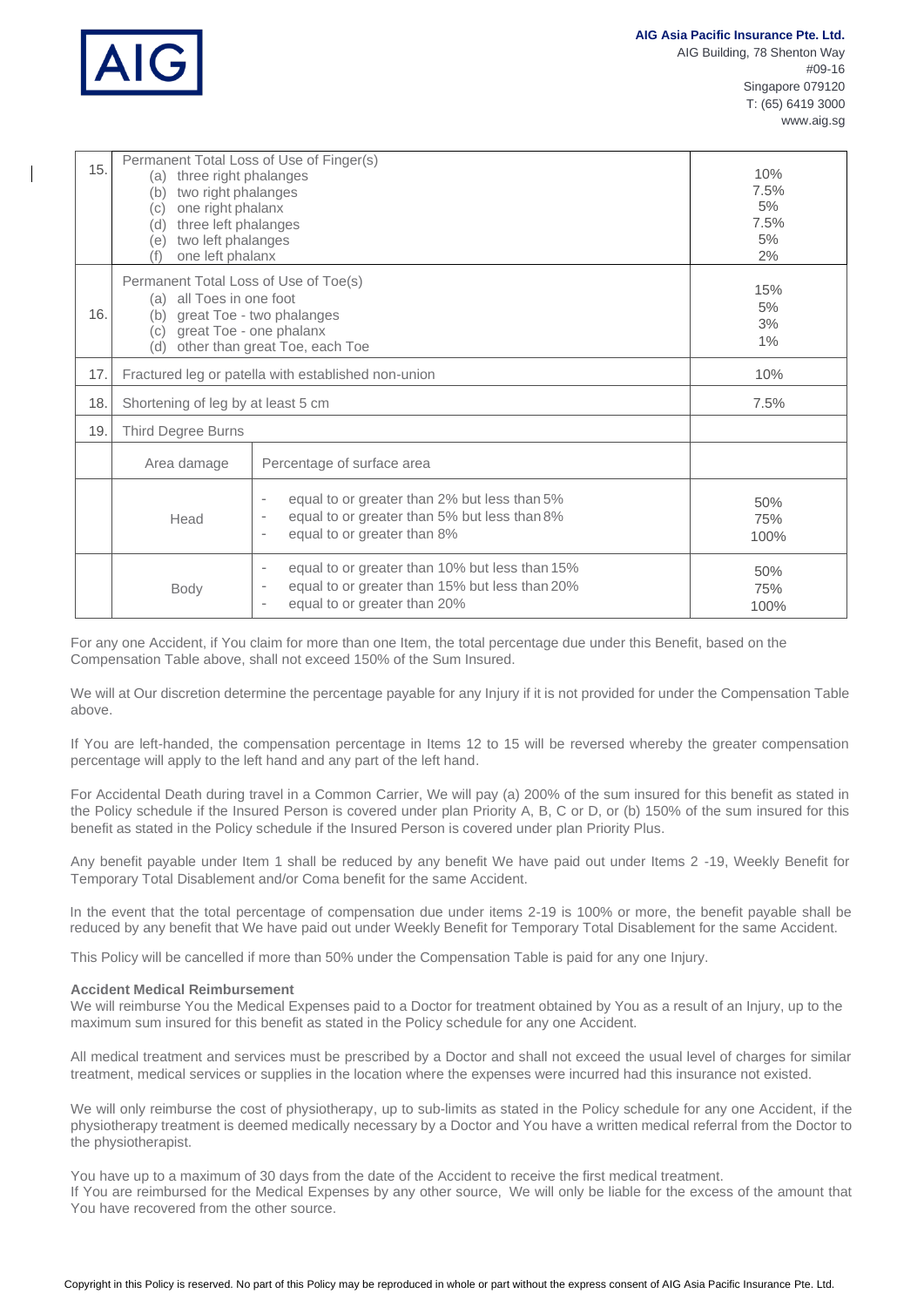

| 15. | Permanent Total Loss of Use of Finger(s)<br>(a) three right phalanges<br>two right phalanges<br>(b)<br>one right phalanx<br>(c)<br>three left phalanges<br>(d)<br>two left phalanges<br>(e)<br>one left phalanx |                                                                                                                                                                                                                 | 10%<br>7.5%<br>5%<br>7.5%<br>5%<br>2% |
|-----|-----------------------------------------------------------------------------------------------------------------------------------------------------------------------------------------------------------------|-----------------------------------------------------------------------------------------------------------------------------------------------------------------------------------------------------------------|---------------------------------------|
| 16. | Permanent Total Loss of Use of Toe(s)<br>(a) all Toes in one foot<br>great Toe - two phalanges<br>(b)<br>great Toe - one phalanx<br>(c)<br>other than great Toe, each Toe<br>(d)                                |                                                                                                                                                                                                                 | 15%<br>5%<br>3%<br>$1\%$              |
| 17. | Fractured leg or patella with established non-union                                                                                                                                                             |                                                                                                                                                                                                                 | 10%                                   |
| 18. | Shortening of leg by at least 5 cm                                                                                                                                                                              |                                                                                                                                                                                                                 | 7.5%                                  |
| 19. | Third Degree Burns                                                                                                                                                                                              |                                                                                                                                                                                                                 |                                       |
|     | Area damage                                                                                                                                                                                                     | Percentage of surface area                                                                                                                                                                                      |                                       |
|     | Head                                                                                                                                                                                                            | equal to or greater than 2% but less than 5%<br>$\overline{\phantom{a}}$<br>equal to or greater than 5% but less than 8%<br>$\overline{\phantom{a}}$<br>equal to or greater than 8%<br>$\overline{\phantom{a}}$ | 50%<br>75%<br>100%                    |
|     | Body                                                                                                                                                                                                            | equal to or greater than 10% but less than 15%<br>$\overline{\phantom{a}}$<br>equal to or greater than 15% but less than 20%<br>$\overline{\phantom{a}}$<br>equal to or greater than 20%<br>٠                   | 50%<br>75%<br>100%                    |

For any one Accident, if You claim for more than one Item, the total percentage due under this Benefit, based on the Compensation Table above, shall not exceed 150% of the Sum Insured.

We will at Our discretion determine the percentage payable for any Injury if it is not provided for under the Compensation Table above.

If You are left-handed, the compensation percentage in Items 12 to 15 will be reversed whereby the greater compensation percentage will apply to the left hand and any part of the left hand.

For Accidental Death during travel in a Common Carrier, We will pay (a) 200% of the sum insured for this benefit as stated in the Policy schedule if the Insured Person is covered under plan Priority A, B, C or D, or (b) 150% of the sum insured for this benefit as stated in the Policy schedule if the Insured Person is covered under plan Priority Plus.

Any benefit payable under Item 1 shall be reduced by any benefit We have paid out under Items 2 -19, Weekly Benefit for Temporary Total Disablement and/or Coma benefit for the same Accident.

In the event that the total percentage of compensation due under items 2-19 is 100% or more, the benefit payable shall be reduced by any benefit that We have paid out under Weekly Benefit for Temporary Total Disablement for the same Accident.

This Policy will be cancelled if more than 50% under the Compensation Table is paid for any one Injury.

## **Accident Medical Reimbursement**

We will reimburse You the Medical Expenses paid to a Doctor for treatment obtained by You as a result of an Injury, up to the maximum sum insured for this benefit as stated in the Policy schedule for any one Accident.

All medical treatment and services must be prescribed by a Doctor and shall not exceed the usual level of charges for similar treatment, medical services or supplies in the location where the expenses were incurred had this insurance not existed.

We will only reimburse the cost of physiotherapy, up to sub-limits as stated in the Policy schedule for any one Accident, if the physiotherapy treatment is deemed medically necessary by a Doctor and You have a written medical referral from the Doctor to the physiotherapist.

You have up to a maximum of 30 days from the date of the Accident to receive the first medical treatment. If You are reimbursed for the Medical Expenses by any other source, We will only be liable for the excess of the amount that You have recovered from the other source.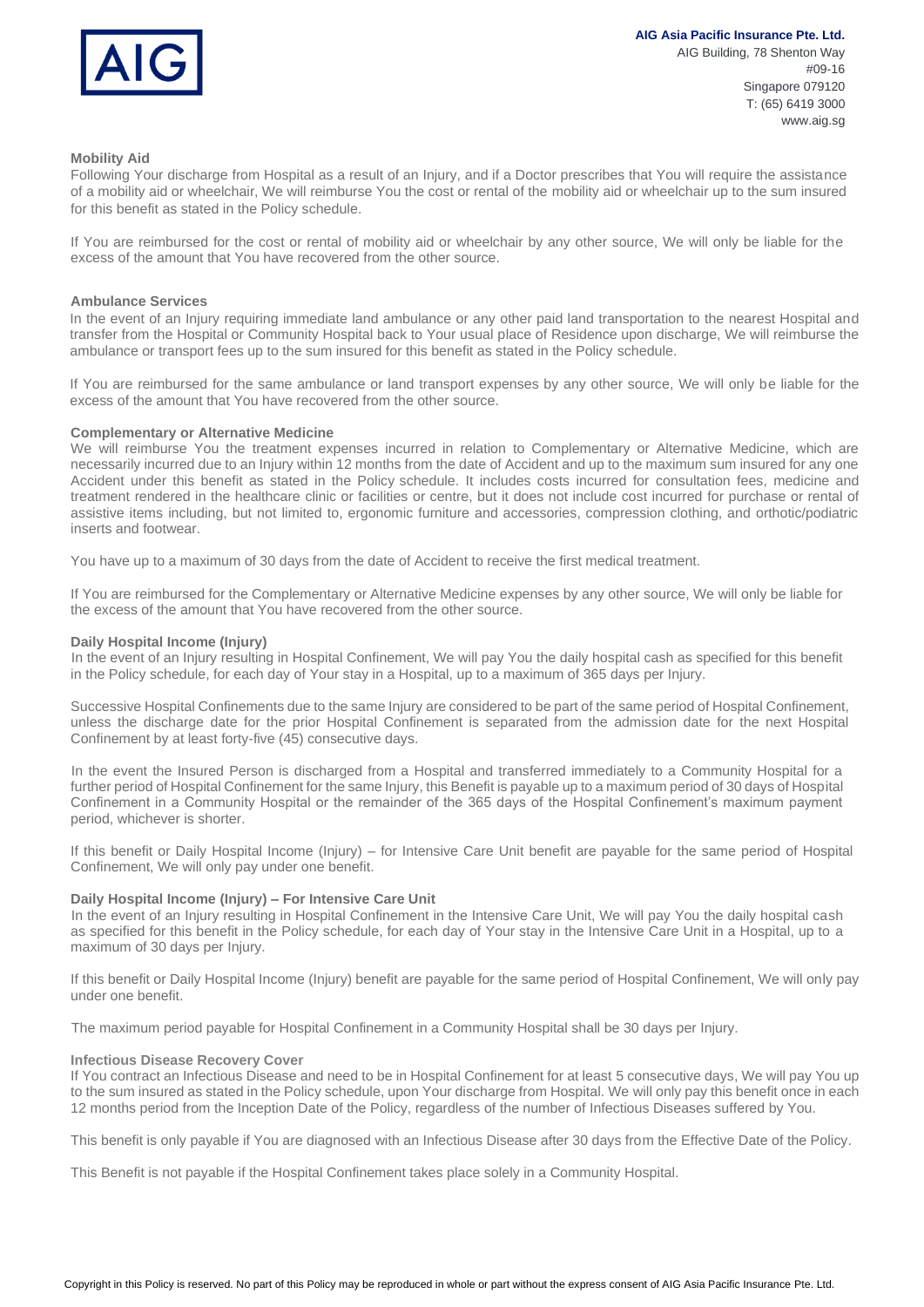

### **Mobility Aid**

Following Your discharge from Hospital as a result of an Injury, and if a Doctor prescribes that You will require the assistance of a mobility aid or wheelchair, We will reimburse You the cost or rental of the mobility aid or wheelchair up to the sum insured for this benefit as stated in the Policy schedule.

If You are reimbursed for the cost or rental of mobility aid or wheelchair by any other source, We will only be liable for the excess of the amount that You have recovered from the other source.

## **Ambulance Services**

In the event of an Injury requiring immediate land ambulance or any other paid land transportation to the nearest Hospital and transfer from the Hospital or Community Hospital back to Your usual place of Residence upon discharge, We will reimburse the ambulance or transport fees up to the sum insured for this benefit as stated in the Policy schedule.

If You are reimbursed for the same ambulance or land transport expenses by any other source, We will only be liable for the excess of the amount that You have recovered from the other source.

## **Complementary or Alternative Medicine**

We will reimburse You the treatment expenses incurred in relation to Complementary or Alternative Medicine, which are necessarily incurred due to an Injury within 12 months from the date of Accident and up to the maximum sum insured for any one Accident under this benefit as stated in the Policy schedule. It includes costs incurred for consultation fees, medicine and treatment rendered in the healthcare clinic or facilities or centre, but it does not include cost incurred for purchase or rental of assistive items including, but not limited to, ergonomic furniture and accessories, compression clothing, and orthotic/podiatric inserts and footwear.

You have up to a maximum of 30 days from the date of Accident to receive the first medical treatment.

If You are reimbursed for the Complementary or Alternative Medicine expenses by any other source, We will only be liable for the excess of the amount that You have recovered from the other source.

#### **Daily Hospital Income (Injury)**

In the event of an Injury resulting in Hospital Confinement, We will pay You the daily hospital cash as specified for this benefit in the Policy schedule, for each day of Your stay in a Hospital, up to a maximum of 365 days per Injury.

Successive Hospital Confinements due to the same Injury are considered to be part of the same period of Hospital Confinement, unless the discharge date for the prior Hospital Confinement is separated from the admission date for the next Hospital Confinement by at least forty-five (45) consecutive days.

In the event the Insured Person is discharged from a Hospital and transferred immediately to a Community Hospital for a further period of Hospital Confinement for the same Injury, this Benefit is payable up to a maximum period of 30 days of Hospital Confinement in a Community Hospital or the remainder of the 365 days of the Hospital Confinement's maximum payment period, whichever is shorter.

If this benefit or Daily Hospital Income (Injury) – for Intensive Care Unit benefit are payable for the same period of Hospital Confinement, We will only pay under one benefit.

#### **Daily Hospital Income (Injury) – For Intensive Care Unit**

In the event of an Injury resulting in Hospital Confinement in the Intensive Care Unit, We will pay You the daily hospital cash as specified for this benefit in the Policy schedule, for each day of Your stay in the Intensive Care Unit in a Hospital, up to a maximum of 30 days per Injury.

If this benefit or Daily Hospital Income (Injury) benefit are payable for the same period of Hospital Confinement, We will only pay under one benefit.

The maximum period payable for Hospital Confinement in a Community Hospital shall be 30 days per Injury.

## **Infectious Disease Recovery Cover**

If You contract an Infectious Disease and need to be in Hospital Confinement for at least 5 consecutive days, We will pay You up to the sum insured as stated in the Policy schedule, upon Your discharge from Hospital. We will only pay this benefit once in each 12 months period from the Inception Date of the Policy, regardless of the number of Infectious Diseases suffered by You.

This benefit is only payable if You are diagnosed with an Infectious Disease after 30 days from the Effective Date of the Policy.

This Benefit is not payable if the Hospital Confinement takes place solely in a Community Hospital.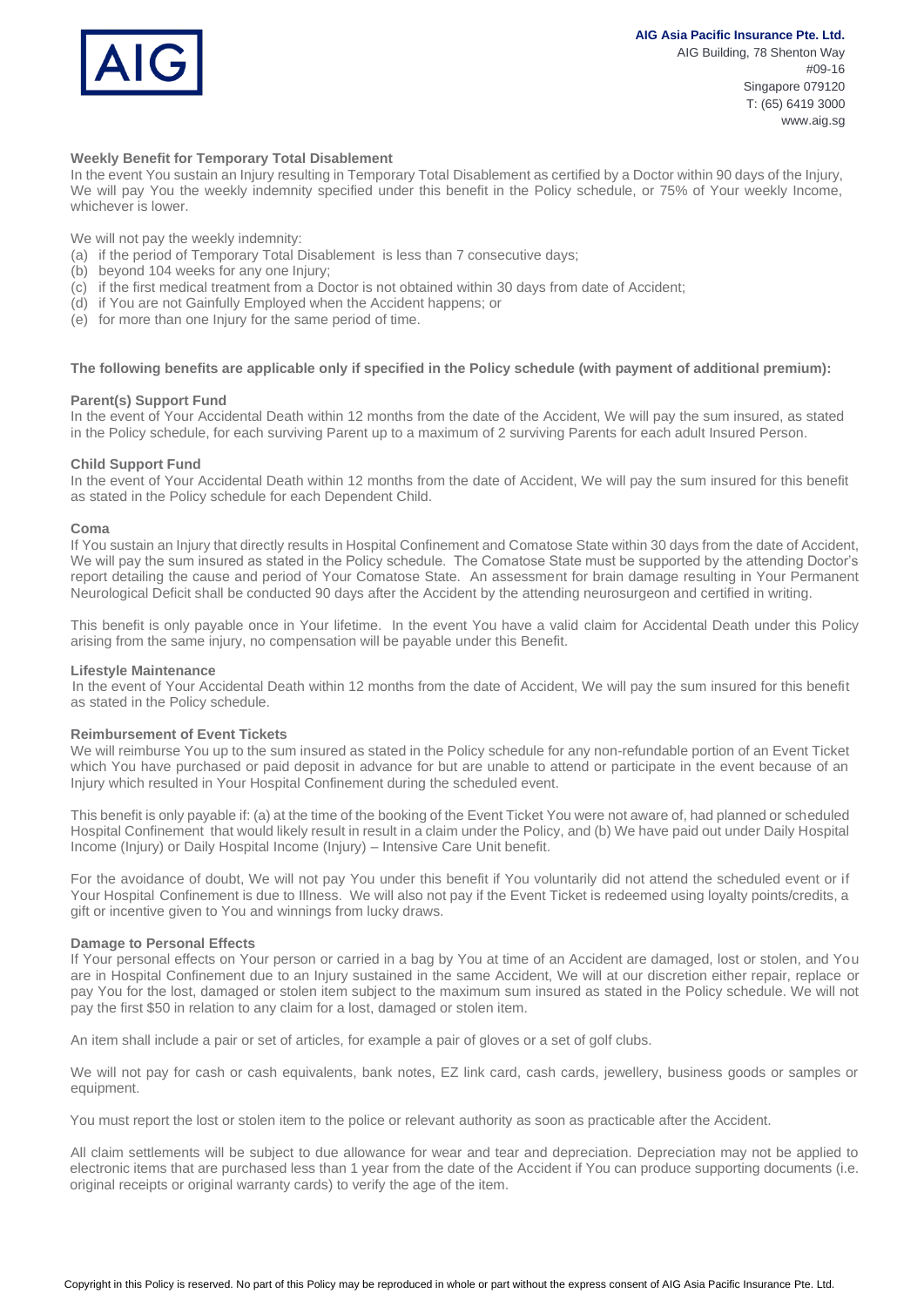## **AIG Asia Pacific Insurance Pte. Ltd.**



AIG Building, 78 Shenton Way #09-16 Singapore 079120 T: (65) 6419 3000 www.aig.sg

## **Weekly Benefit for Temporary Total Disablement**

In the event You sustain an Injury resulting in Temporary Total Disablement as certified by a Doctor within 90 days of the Injury, We will pay You the weekly indemnity specified under this benefit in the Policy schedule, or 75% of Your weekly Income, whichever is lower.

We will not pay the weekly indemnity:

- (a) if the period of Temporary Total Disablement is less than 7 consecutive days;
- (b) beyond 104 weeks for any one Injury;
- (c) if the first medical treatment from a Doctor is not obtained within 30 days from date of Accident;
- (d) if You are not Gainfully Employed when the Accident happens; or
- (e) for more than one Injury for the same period of time.

#### **The following benefits are applicable only if specified in the Policy schedule (with payment of additional premium):**

#### **Parent(s) Support Fund**

In the event of Your Accidental Death within 12 months from the date of the Accident, We will pay the sum insured, as stated in the Policy schedule, for each surviving Parent up to a maximum of 2 surviving Parents for each adult Insured Person.

#### **Child Support Fund**

In the event of Your Accidental Death within 12 months from the date of Accident, We will pay the sum insured for this benefit as stated in the Policy schedule for each Dependent Child.

#### **Coma**

If You sustain an Injury that directly results in Hospital Confinement and Comatose State within 30 days from the date of Accident, We will pay the sum insured as stated in the Policy schedule. The Comatose State must be supported by the attending Doctor's report detailing the cause and period of Your Comatose State. An assessment for brain damage resulting in Your Permanent Neurological Deficit shall be conducted 90 days after the Accident by the attending neurosurgeon and certified in writing.

This benefit is only payable once in Your lifetime. In the event You have a valid claim for Accidental Death under this Policy arising from the same injury, no compensation will be payable under this Benefit.

#### **Lifestyle Maintenance**

In the event of Your Accidental Death within 12 months from the date of Accident, We will pay the sum insured for this benefit as stated in the Policy schedule.

#### **Reimbursement of Event Tickets**

We will reimburse You up to the sum insured as stated in the Policy schedule for any non-refundable portion of an Event Ticket which You have purchased or paid deposit in advance for but are unable to attend or participate in the event because of an Injury which resulted in Your Hospital Confinement during the scheduled event.

This benefit is only payable if: (a) at the time of the booking of the Event Ticket You were not aware of, had planned or scheduled Hospital Confinement that would likely result in result in a claim under the Policy, and (b) We have paid out under Daily Hospital Income (Injury) or Daily Hospital Income (Injury) – Intensive Care Unit benefit.

For the avoidance of doubt, We will not pay You under this benefit if You voluntarily did not attend the scheduled event or if Your Hospital Confinement is due to Illness. We will also not pay if the Event Ticket is redeemed using loyalty points/credits, a gift or incentive given to You and winnings from lucky draws.

#### **Damage to Personal Effects**

If Your personal effects on Your person or carried in a bag by You at time of an Accident are damaged, lost or stolen, and You are in Hospital Confinement due to an Injury sustained in the same Accident, We will at our discretion either repair, replace or pay You for the lost, damaged or stolen item subject to the maximum sum insured as stated in the Policy schedule. We will not pay the first \$50 in relation to any claim for a lost, damaged or stolen item.

An item shall include a pair or set of articles, for example a pair of gloves or a set of golf clubs.

We will not pay for cash or cash equivalents, bank notes, EZ link card, cash cards, jewellery, business goods or samples or equipment.

You must report the lost or stolen item to the police or relevant authority as soon as practicable after the Accident.

All claim settlements will be subject to due allowance for wear and tear and depreciation. Depreciation may not be applied to electronic items that are purchased less than 1 year from the date of the Accident if You can produce supporting documents (i.e. original receipts or original warranty cards) to verify the age of the item.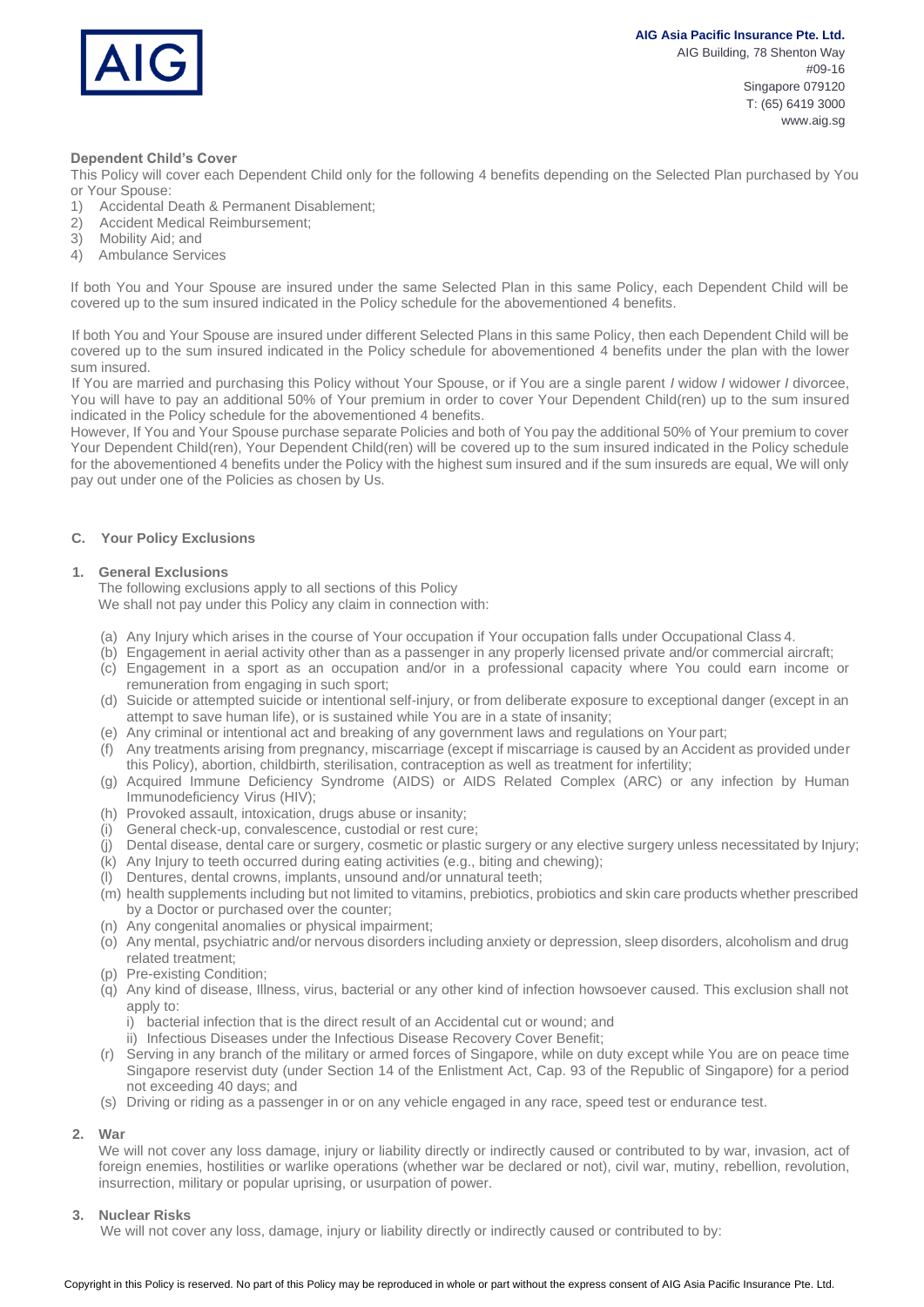

AIG Building, 78 Shenton Way #09-16 Singapore 079120 T: (65) 6419 3000 www.aig.sg

### **Dependent Child's Cover**

This Policy will cover each Dependent Child only for the following 4 benefits depending on the Selected Plan purchased by You or Your Spouse:

- 1) Accidental Death & Permanent Disablement;
- 2) Accident Medical Reimbursement;
- 3) Mobility Aid; and
- 4) Ambulance Services

If both You and Your Spouse are insured under the same Selected Plan in this same Policy, each Dependent Child will be covered up to the sum insured indicated in the Policy schedule for the abovementioned 4 benefits.

If both You and Your Spouse are insured under different Selected Plans in this same Policy, then each Dependent Child will be covered up to the sum insured indicated in the Policy schedule for abovementioned 4 benefits under the plan with the lower sum insured.

If You are married and purchasing this Policy without Your Spouse, or if You are a single parent *I* widow *I* widower *I* divorcee, You will have to pay an additional 50% of Your premium in order to cover Your Dependent Child(ren) up to the sum insured indicated in the Policy schedule for the abovementioned 4 benefits.

However, If You and Your Spouse purchase separate Policies and both of You pay the additional 50% of Your premium to cover Your Dependent Child(ren), Your Dependent Child(ren) will be covered up to the sum insured indicated in the Policy schedule for the abovementioned 4 benefits under the Policy with the highest sum insured and if the sum insureds are equal, We will only pay out under one of the Policies as chosen by Us.

## **C. Your Policy Exclusions**

## **1. General Exclusions**

The following exclusions apply to all sections of this Policy We shall not pay under this Policy any claim in connection with:

- (a) Any Injury which arises in the course of Your occupation if Your occupation falls under Occupational Class 4.
- (b) Engagement in aerial activity other than as a passenger in any properly licensed private and/or commercial aircraft;
- (c) Engagement in a sport as an occupation and/or in a professional capacity where You could earn income or remuneration from engaging in such sport;
- (d) Suicide or attempted suicide or intentional self-injury, or from deliberate exposure to exceptional danger (except in an attempt to save human life), or is sustained while You are in a state of insanity;
- (e) Any criminal or intentional act and breaking of any government laws and regulations on Your part;
- (f) Any treatments arising from pregnancy, miscarriage (except if miscarriage is caused by an Accident as provided under this Policy), abortion, childbirth, sterilisation, contraception as well as treatment for infertility;
- (g) Acquired Immune Deficiency Syndrome (AIDS) or AIDS Related Complex (ARC) or any infection by Human Immunodeficiency Virus (HIV);
- (h) Provoked assault, intoxication, drugs abuse or insanity;
- (i) General check-up, convalescence, custodial or rest cure;
- (j) Dental disease, dental care or surgery, cosmetic or plastic surgery or any elective surgery unless necessitated by Injury;
- (k) Any Injury to teeth occurred during eating activities (e.g., biting and chewing);
- (l) Dentures, dental crowns, implants, unsound and/or unnatural teeth;
- (m) health supplements including but not limited to vitamins, prebiotics, probiotics and skin care products whether prescribed by a Doctor or purchased over the counter;
- (n) Any congenital anomalies or physical impairment;
- (o) Any mental, psychiatric and/or nervous disorders including anxiety or depression, sleep disorders, alcoholism and drug related treatment;
- (p) Pre-existing Condition;
- (q) Any kind of disease, Illness, virus, bacterial or any other kind of infection howsoever caused. This exclusion shall not apply to:
	- i) bacterial infection that is the direct result of an Accidental cut or wound; and
	- ii) Infectious Diseases under the Infectious Disease Recovery Cover Benefit;
- (r) Serving in any branch of the military or armed forces of Singapore, while on duty except while You are on peace time Singapore reservist duty (under Section 14 of the Enlistment Act, Cap. 93 of the Republic of Singapore) for a period not exceeding 40 days; and
- (s) Driving or riding as a passenger in or on any vehicle engaged in any race, speed test or endurance test.

## **2. War**

We will not cover any loss damage, injury or liability directly or indirectly caused or contributed to by war, invasion, act of foreign enemies, hostilities or warlike operations (whether war be declared or not), civil war, mutiny, rebellion, revolution, insurrection, military or popular uprising, or usurpation of power.

## **3. Nuclear Risks**

We will not cover any loss, damage, injury or liability directly or indirectly caused or contributed to by: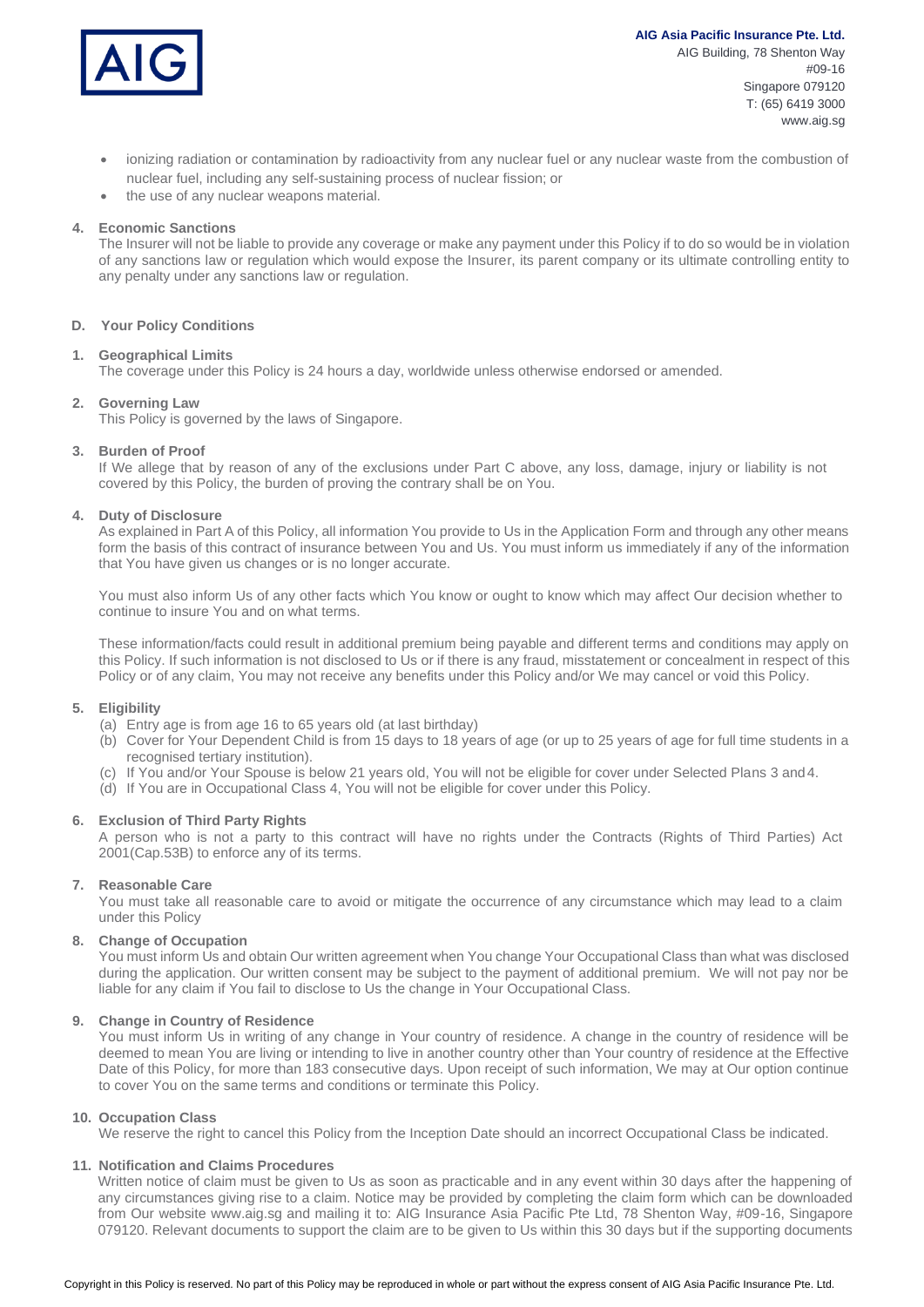

**AIG Asia Pacific Insurance Pte. Ltd.** AIG Building, 78 Shenton Way #09-16 Singapore 079120 T: (65) 6419 3000 www.aig.sg

- ionizing radiation or contamination by radioactivity from any nuclear fuel or any nuclear waste from the combustion of nuclear fuel, including any self-sustaining process of nuclear fission; or
- the use of any nuclear weapons material.

## **4. Economic Sanctions**

The Insurer will not be liable to provide any coverage or make any payment under this Policy if to do so would be in violation of any sanctions law or regulation which would expose the Insurer, its parent company or its ultimate controlling entity to any penalty under any sanctions law or regulation.

## **D. Your Policy Conditions**

#### **1. Geographical Limits**

The coverage under this Policy is 24 hours a day, worldwide unless otherwise endorsed or amended.

#### **2. Governing Law**

This Policy is governed by the laws of Singapore.

## **3. Burden of Proof**

If We allege that by reason of any of the exclusions under Part C above, any loss, damage, injury or liability is not covered by this Policy, the burden of proving the contrary shall be on You.

## **4. Duty of Disclosure**

As explained in Part A of this Policy, all information You provide to Us in the Application Form and through any other means form the basis of this contract of insurance between You and Us. You must inform us immediately if any of the information that You have given us changes or is no longer accurate.

You must also inform Us of any other facts which You know or ought to know which may affect Our decision whether to continue to insure You and on what terms.

These information/facts could result in additional premium being payable and different terms and conditions may apply on this Policy. If such information is not disclosed to Us or if there is any fraud, misstatement or concealment in respect of this Policy or of any claim, You may not receive any benefits under this Policy and/or We may cancel or void this Policy.

## **5. Eligibility**

(a) Entry age is from age 16 to 65 years old (at last birthday)

- (b) Cover for Your Dependent Child is from 15 days to 18 years of age (or up to 25 years of age for full time students in a recognised tertiary institution).
- (c) If You and/or Your Spouse is below 21 years old, You will not be eligible for cover under Selected Plans 3 and4.
- (d) If You are in Occupational Class 4, You will not be eligible for cover under this Policy.

## **6. Exclusion of Third Party Rights**

A person who is not a party to this contract will have no rights under the Contracts (Rights of Third Parties) Act 2001(Cap.53B) to enforce any of its terms.

#### **7. Reasonable Care**

You must take all reasonable care to avoid or mitigate the occurrence of any circumstance which may lead to a claim under this Policy

#### **8. Change of Occupation**

You must inform Us and obtain Our written agreement when You change Your Occupational Class than what was disclosed during the application. Our written consent may be subject to the payment of additional premium. We will not pay nor be liable for any claim if You fail to disclose to Us the change in Your Occupational Class.

## **9. Change in Country of Residence**

You must inform Us in writing of any change in Your country of residence. A change in the country of residence will be deemed to mean You are living or intending to live in another country other than Your country of residence at the Effective Date of this Policy, for more than 183 consecutive days. Upon receipt of such information, We may at Our option continue to cover You on the same terms and conditions or terminate this Policy.

## **10. Occupation Class**

We reserve the right to cancel this Policy from the Inception Date should an incorrect Occupational Class be indicated.

## **11. Notification and Claims Procedures**

Written notice of claim must be given to Us as soon as practicable and in any event within 30 days after the happening of any circumstances giving rise to a claim. Notice may be provided by completing the claim form which can be downloaded from Our website www.aig.sg and mailing it to: AIG Insurance Asia Pacific Pte Ltd, 78 Shenton Way, #09-16, Singapore 079120. Relevant documents to support the claim are to be given to Us within this 30 days but if the supporting documents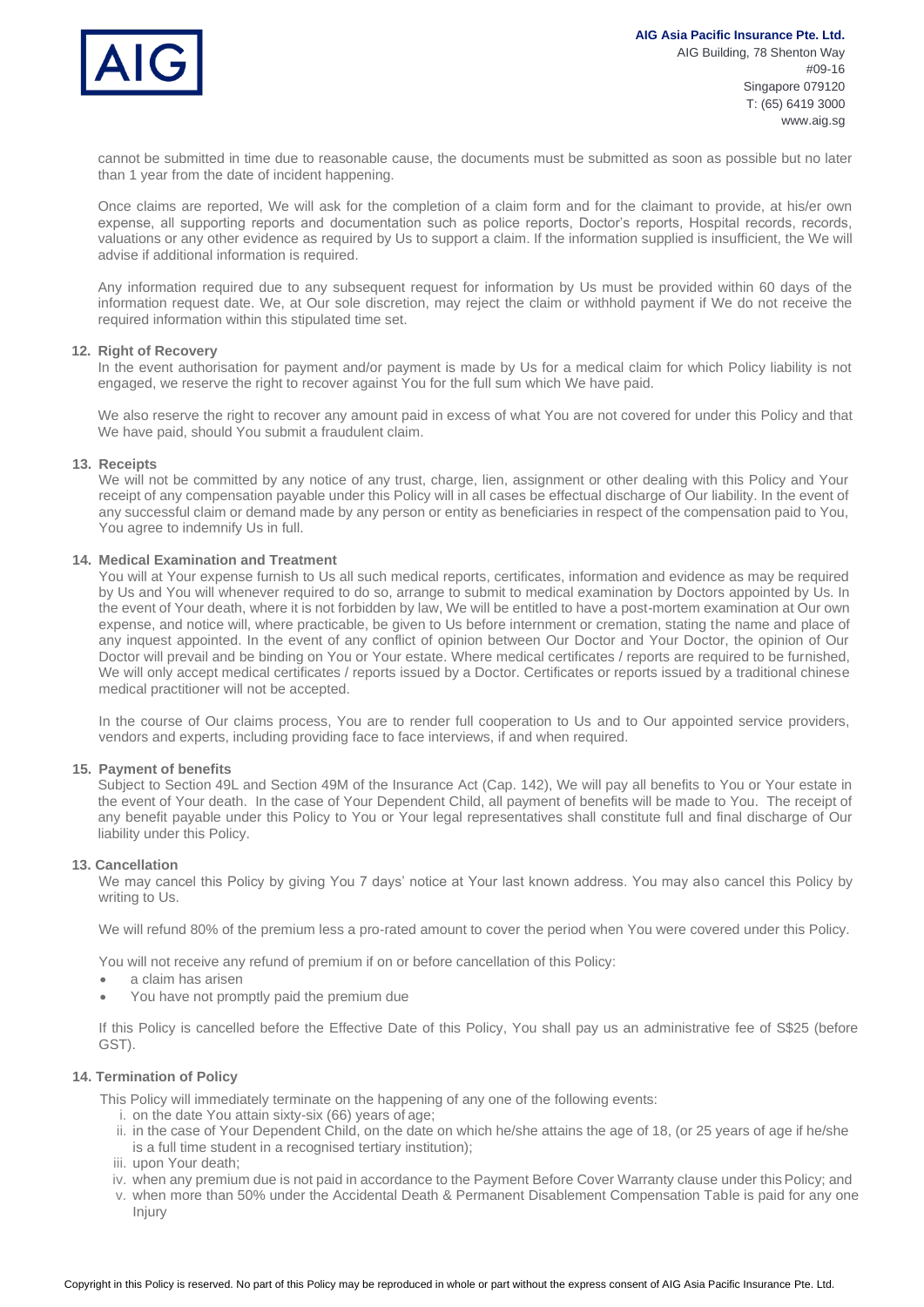

cannot be submitted in time due to reasonable cause, the documents must be submitted as soon as possible but no later than 1 year from the date of incident happening.

Once claims are reported, We will ask for the completion of a claim form and for the claimant to provide, at his/er own expense, all supporting reports and documentation such as police reports, Doctor's reports, Hospital records, records, valuations or any other evidence as required by Us to support a claim. If the information supplied is insufficient, the We will advise if additional information is required.

Any information required due to any subsequent request for information by Us must be provided within 60 days of the information request date. We, at Our sole discretion, may reject the claim or withhold payment if We do not receive the required information within this stipulated time set.

#### **12. Right of Recovery**

In the event authorisation for payment and/or payment is made by Us for a medical claim for which Policy liability is not engaged, we reserve the right to recover against You for the full sum which We have paid.

We also reserve the right to recover any amount paid in excess of what You are not covered for under this Policy and that We have paid, should You submit a fraudulent claim.

#### **13. Receipts**

We will not be committed by any notice of any trust, charge, lien, assignment or other dealing with this Policy and Your receipt of any compensation payable under this Policy will in all cases be effectual discharge of Our liability. In the event of any successful claim or demand made by any person or entity as beneficiaries in respect of the compensation paid to You, You agree to indemnify Us in full.

#### **14. Medical Examination and Treatment**

You will at Your expense furnish to Us all such medical reports, certificates, information and evidence as may be required by Us and You will whenever required to do so, arrange to submit to medical examination by Doctors appointed by Us. In the event of Your death, where it is not forbidden by law, We will be entitled to have a post-mortem examination at Our own expense, and notice will, where practicable, be given to Us before internment or cremation, stating the name and place of any inquest appointed. In the event of any conflict of opinion between Our Doctor and Your Doctor, the opinion of Our Doctor will prevail and be binding on You or Your estate. Where medical certificates / reports are required to be furnished, We will only accept medical certificates / reports issued by a Doctor. Certificates or reports issued by a traditional chinese medical practitioner will not be accepted.

In the course of Our claims process, You are to render full cooperation to Us and to Our appointed service providers, vendors and experts, including providing face to face interviews, if and when required.

#### **15. Payment of benefits**

Subject to Section 49L and Section 49M of the Insurance Act (Cap. 142), We will pay all benefits to You or Your estate in the event of Your death. In the case of Your Dependent Child, all payment of benefits will be made to You. The receipt of any benefit payable under this Policy to You or Your legal representatives shall constitute full and final discharge of Our liability under this Policy.

#### **13. Cancellation**

We may cancel this Policy by giving You 7 days' notice at Your last known address. You may also cancel this Policy by writing to Us.

We will refund 80% of the premium less a pro-rated amount to cover the period when You were covered under this Policy.

You will not receive any refund of premium if on or before cancellation of this Policy:

- a claim has arisen
- You have not promptly paid the premium due

If this Policy is cancelled before the Effective Date of this Policy, You shall pay us an administrative fee of S\$25 (before GST).

### **14. Termination of Policy**

This Policy will immediately terminate on the happening of any one of the following events:

- i. on the date You attain sixty-six (66) years of age;
- ii. in the case of Your Dependent Child, on the date on which he/she attains the age of 18, (or 25 years of age if he/she is a full time student in a recognised tertiary institution);
- iii. upon Your death;
- iv. when any premium due is not paid in accordance to the Payment Before Cover Warranty clause under this Policy; and
- v. when more than 50% under the Accidental Death & Permanent Disablement Compensation Table is paid for any one Injury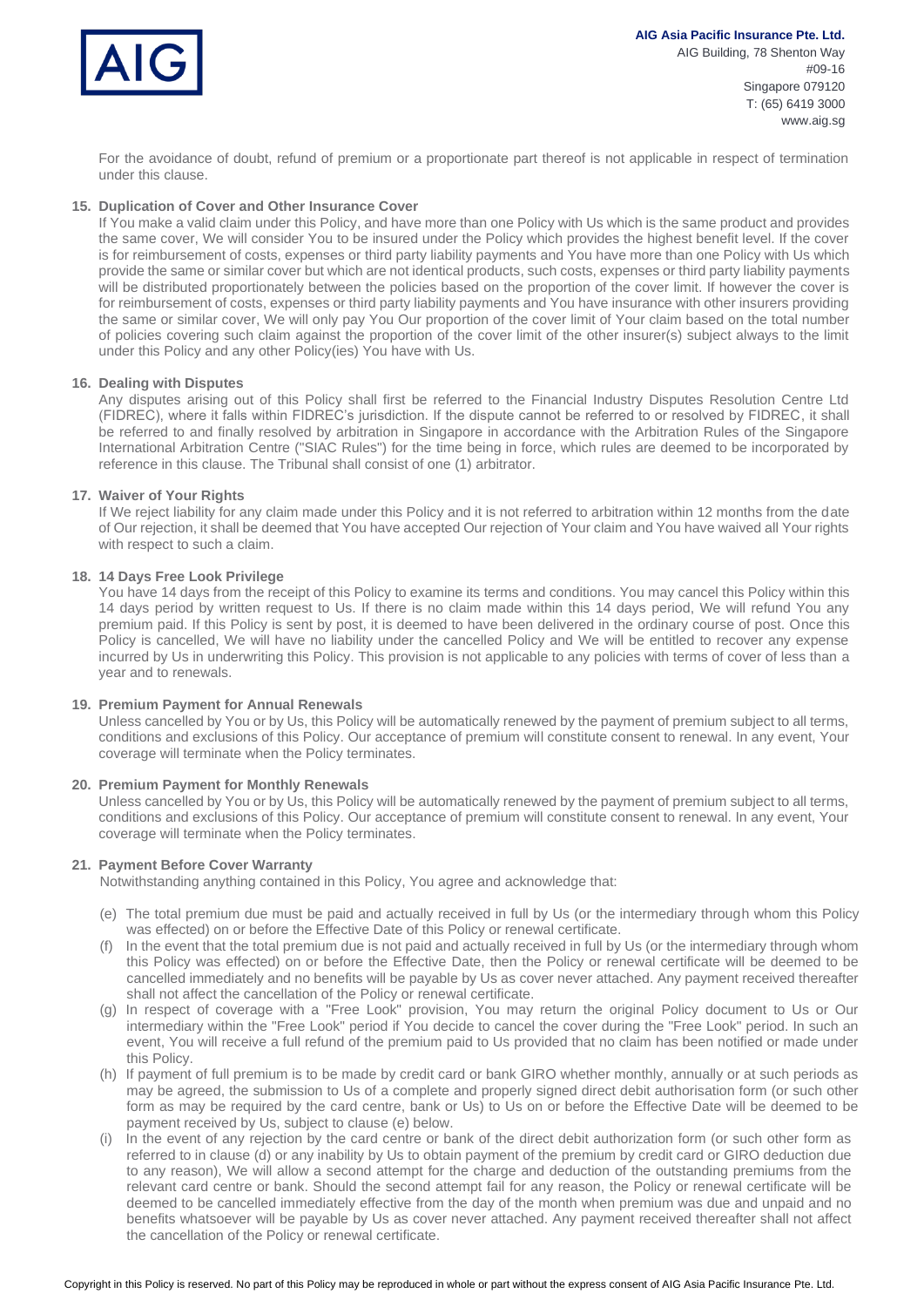

T: (65) 6419 3000 www.aig.sg

For the avoidance of doubt, refund of premium or a proportionate part thereof is not applicable in respect of termination under this clause.

## **15. Duplication of Cover and Other Insurance Cover**

If You make a valid claim under this Policy, and have more than one Policy with Us which is the same product and provides the same cover, We will consider You to be insured under the Policy which provides the highest benefit level. If the cover is for reimbursement of costs, expenses or third party liability payments and You have more than one Policy with Us which provide the same or similar cover but which are not identical products, such costs, expenses or third party liability payments will be distributed proportionately between the policies based on the proportion of the cover limit. If however the cover is for reimbursement of costs, expenses or third party liability payments and You have insurance with other insurers providing the same or similar cover, We will only pay You Our proportion of the cover limit of Your claim based on the total number of policies covering such claim against the proportion of the cover limit of the other insurer(s) subject always to the limit under this Policy and any other Policy(ies) You have with Us.

#### **16. Dealing with Disputes**

Any disputes arising out of this Policy shall first be referred to the Financial Industry Disputes Resolution Centre Ltd (FIDREC), where it falls within FIDREC's jurisdiction. If the dispute cannot be referred to or resolved by FIDREC, it shall be referred to and finally resolved by arbitration in Singapore in accordance with the Arbitration Rules of the Singapore International Arbitration Centre ("SIAC Rules") for the time being in force, which rules are deemed to be incorporated by reference in this clause. The Tribunal shall consist of one (1) arbitrator.

#### **17. Waiver of Your Rights**

If We reject liability for any claim made under this Policy and it is not referred to arbitration within 12 months from the date of Our rejection, it shall be deemed that You have accepted Our rejection of Your claim and You have waived all Your rights with respect to such a claim.

#### **18. 14 Days Free Look Privilege**

You have 14 days from the receipt of this Policy to examine its terms and conditions. You may cancel this Policy within this 14 days period by written request to Us. If there is no claim made within this 14 days period, We will refund You any premium paid. If this Policy is sent by post, it is deemed to have been delivered in the ordinary course of post. Once this Policy is cancelled, We will have no liability under the cancelled Policy and We will be entitled to recover any expense incurred by Us in underwriting this Policy. This provision is not applicable to any policies with terms of cover of less than a year and to renewals.

#### **19. Premium Payment for Annual Renewals**

Unless cancelled by You or by Us, this Policy will be automatically renewed by the payment of premium subject to all terms, conditions and exclusions of this Policy. Our acceptance of premium will constitute consent to renewal. In any event, Your coverage will terminate when the Policy terminates.

#### **20. Premium Payment for Monthly Renewals**

Unless cancelled by You or by Us, this Policy will be automatically renewed by the payment of premium subject to all terms, conditions and exclusions of this Policy. Our acceptance of premium will constitute consent to renewal. In any event, Your coverage will terminate when the Policy terminates.

## **21. Payment Before Cover Warranty**

Notwithstanding anything contained in this Policy, You agree and acknowledge that:

- (e) The total premium due must be paid and actually received in full by Us (or the intermediary through whom this Policy was effected) on or before the Effective Date of this Policy or renewal certificate.
- (f) In the event that the total premium due is not paid and actually received in full by Us (or the intermediary through whom this Policy was effected) on or before the Effective Date, then the Policy or renewal certificate will be deemed to be cancelled immediately and no benefits will be payable by Us as cover never attached. Any payment received thereafter shall not affect the cancellation of the Policy or renewal certificate.
- (g) In respect of coverage with a "Free Look" provision, You may return the original Policy document to Us or Our intermediary within the "Free Look" period if You decide to cancel the cover during the "Free Look" period. In such an event, You will receive a full refund of the premium paid to Us provided that no claim has been notified or made under this Policy.
- (h) If payment of full premium is to be made by credit card or bank GIRO whether monthly, annually or at such periods as may be agreed, the submission to Us of a complete and properly signed direct debit authorisation form (or such other form as may be required by the card centre, bank or Us) to Us on or before the Effective Date will be deemed to be payment received by Us, subject to clause (e) below.
- (i) In the event of any rejection by the card centre or bank of the direct debit authorization form (or such other form as referred to in clause (d) or any inability by Us to obtain payment of the premium by credit card or GIRO deduction due to any reason), We will allow a second attempt for the charge and deduction of the outstanding premiums from the relevant card centre or bank. Should the second attempt fail for any reason, the Policy or renewal certificate will be deemed to be cancelled immediately effective from the day of the month when premium was due and unpaid and no benefits whatsoever will be payable by Us as cover never attached. Any payment received thereafter shall not affect the cancellation of the Policy or renewal certificate.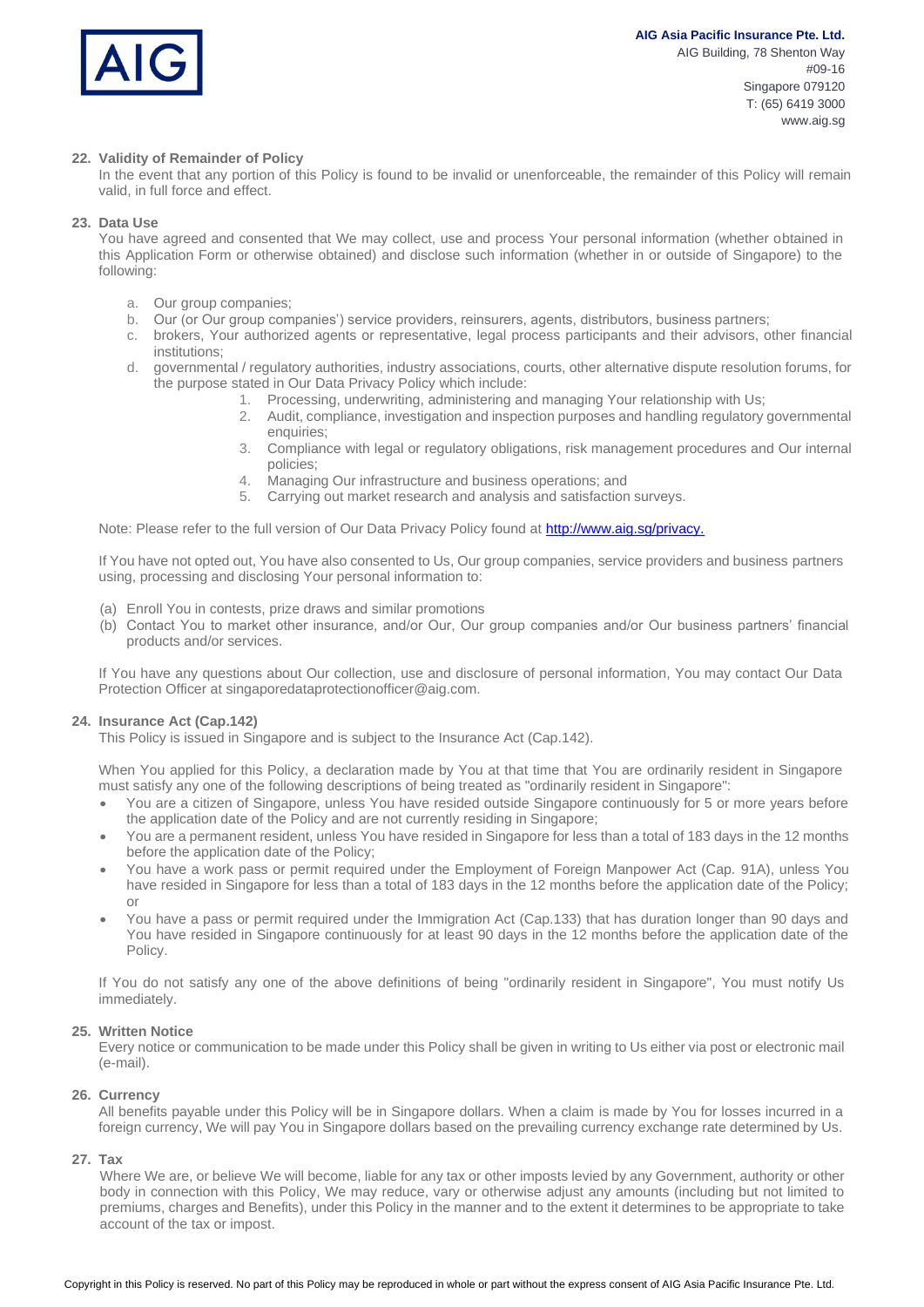

## **22. Validity of Remainder of Policy**

In the event that any portion of this Policy is found to be invalid or unenforceable, the remainder of this Policy will remain valid, in full force and effect.

## **23. Data Use**

You have agreed and consented that We may collect, use and process Your personal information (whether obtained in this Application Form or otherwise obtained) and disclose such information (whether in or outside of Singapore) to the following:

- a. Our group companies;
- b. Our (or Our group companies') service providers, reinsurers, agents, distributors, business partners;
- c. brokers, Your authorized agents or representative, legal process participants and their advisors, other financial institutions;
- d. governmental / regulatory authorities, industry associations, courts, other alternative dispute resolution forums, for the purpose stated in Our Data Privacy Policy which include:
	- 1. Processing, underwriting, administering and managing Your relationship with Us;
	- 2. Audit, compliance, investigation and inspection purposes and handling regulatory governmental enquiries;
	- 3. Compliance with legal or regulatory obligations, risk management procedures and Our internal policies;
	- 4. Managing Our infrastructure and business operations; and
	- 5. Carrying out market research and analysis and satisfaction surveys.

Note: Please refer to the full version of Our Data Privacy Policy found a[t http://www.aig.sg/privacy.](http://www.aig.sg/privacy.)

If You have not opted out, You have also consented to Us, Our group companies, service providers and business partners using, processing and disclosing Your personal information to:

- (a) Enroll You in contests, prize draws and similar promotions
- (b) Contact You to market other insurance, and/or Our, Our group companies and/or Our business partners' financial products and/or services.

If You have any questions about Our collection, use and disclosure of personal information, You may contact Our Data Protection Officer a[t singaporedataprotectionofficer@aig.com.](mailto:singaporedataprotectionofficer@aig.com)

#### **24. Insurance Act (Cap.142)**

This Policy is issued in Singapore and is subject to the Insurance Act (Cap.142).

When You applied for this Policy, a declaration made by You at that time that You are ordinarily resident in Singapore must satisfy any one of the following descriptions of being treated as "ordinarily resident in Singapore":

- You are a citizen of Singapore, unless You have resided outside Singapore continuously for 5 or more years before the application date of the Policy and are not currently residing in Singapore;
- You are a permanent resident, unless You have resided in Singapore for less than a total of 183 days in the 12 months before the application date of the Policy;
- You have a work pass or permit required under the Employment of Foreign Manpower Act (Cap. 91A), unless You have resided in Singapore for less than a total of 183 days in the 12 months before the application date of the Policy; or
- You have a pass or permit required under the Immigration Act (Cap.133) that has duration longer than 90 days and You have resided in Singapore continuously for at least 90 days in the 12 months before the application date of the Policy.

If You do not satisfy any one of the above definitions of being "ordinarily resident in Singapore", You must notify Us immediately.

#### **25. Written Notice**

Every notice or communication to be made under this Policy shall be given in writing to Us either via post or electronic mail (e-mail).

#### **26. Currency**

All benefits payable under this Policy will be in Singapore dollars. When a claim is made by You for losses incurred in a foreign currency, We will pay You in Singapore dollars based on the prevailing currency exchange rate determined by Us.

#### **27. Tax**

Where We are, or believe We will become, liable for any tax or other imposts levied by any Government, authority or other body in connection with this Policy, We may reduce, vary or otherwise adjust any amounts (including but not limited to premiums, charges and Benefits), under this Policy in the manner and to the extent it determines to be appropriate to take account of the tax or impost.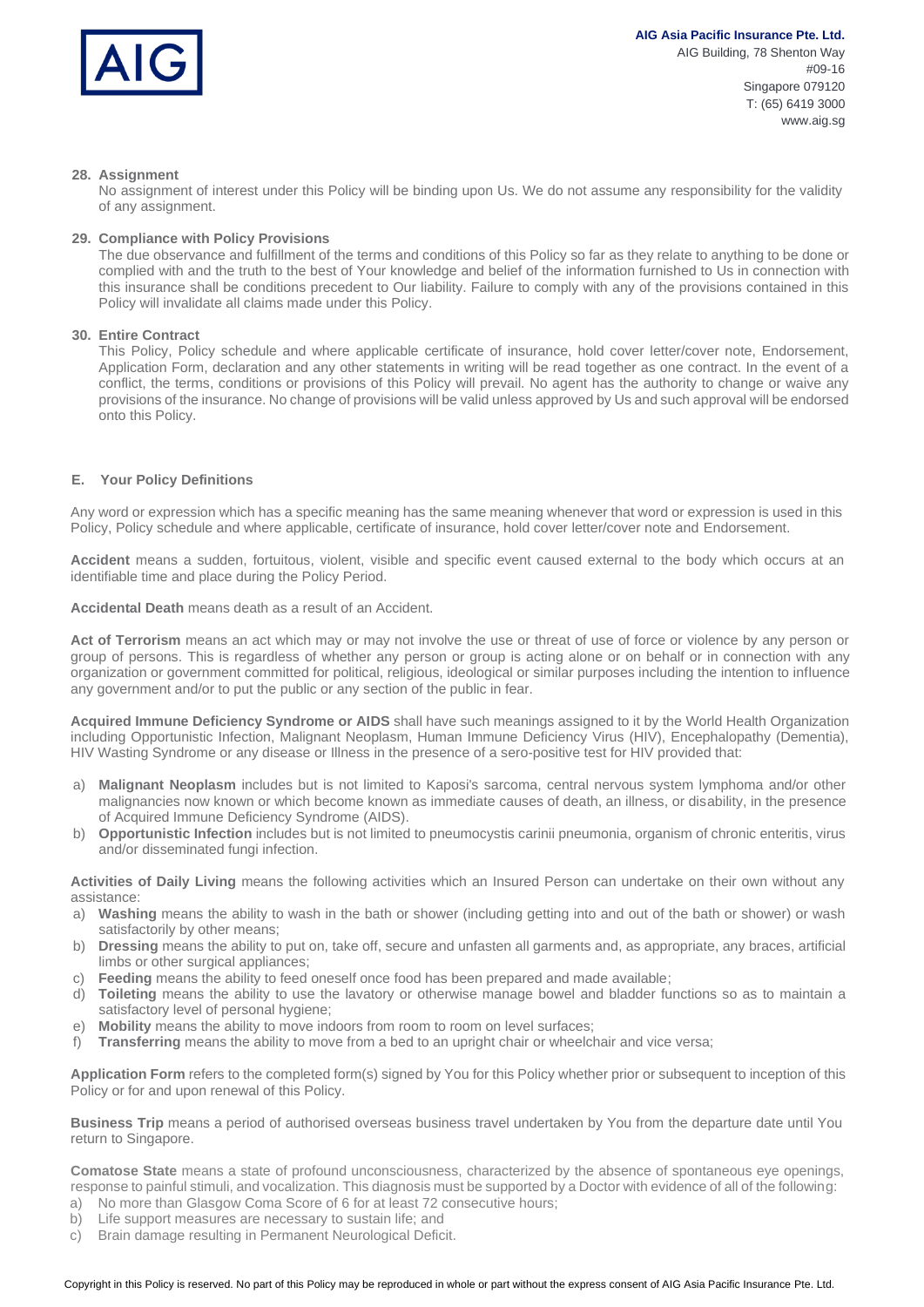

## **28. Assignment**

No assignment of interest under this Policy will be binding upon Us. We do not assume any responsibility for the validity of any assignment.

### **29. Compliance with Policy Provisions**

The due observance and fulfillment of the terms and conditions of this Policy so far as they relate to anything to be done or complied with and the truth to the best of Your knowledge and belief of the information furnished to Us in connection with this insurance shall be conditions precedent to Our liability. Failure to comply with any of the provisions contained in this Policy will invalidate all claims made under this Policy.

#### **30. Entire Contract**

This Policy, Policy schedule and where applicable certificate of insurance, hold cover letter/cover note, Endorsement, Application Form, declaration and any other statements in writing will be read together as one contract. In the event of a conflict, the terms, conditions or provisions of this Policy will prevail. No agent has the authority to change or waive any provisions of the insurance. No change of provisions will be valid unless approved by Us and such approval will be endorsed onto this Policy.

#### **E. Your Policy Definitions**

Any word or expression which has a specific meaning has the same meaning whenever that word or expression is used in this Policy, Policy schedule and where applicable, certificate of insurance, hold cover letter/cover note and Endorsement.

**Accident** means a sudden, fortuitous, violent, visible and specific event caused external to the body which occurs at an identifiable time and place during the Policy Period.

**Accidental Death** means death as a result of an Accident.

**Act of Terrorism** means an act which may or may not involve the use or threat of use of force or violence by any person or group of persons. This is regardless of whether any person or group is acting alone or on behalf or in connection with any organization or government committed for political, religious, ideological or similar purposes including the intention to influence any government and/or to put the public or any section of the public in fear.

**Acquired Immune Deficiency Syndrome or AIDS** shall have such meanings assigned to it by the World Health Organization including Opportunistic Infection, Malignant Neoplasm, Human Immune Deficiency Virus (HIV), Encephalopathy (Dementia), HIV Wasting Syndrome or any disease or Illness in the presence of a sero-positive test for HIV provided that:

- a) **Malignant Neoplasm** includes but is not limited to Kaposi's sarcoma, central nervous system lymphoma and/or other malignancies now known or which become known as immediate causes of death, an illness, or disability, in the presence of Acquired Immune Deficiency Syndrome (AIDS).
- b) **Opportunistic Infection** includes but is not limited to pneumocystis carinii pneumonia, organism of chronic enteritis, virus and/or disseminated fungi infection.

**Activities of Daily Living** means the following activities which an Insured Person can undertake on their own without any assistance:

- a) **Washing** means the ability to wash in the bath or shower (including getting into and out of the bath or shower) or wash satisfactorily by other means;
- b) **Dressing** means the ability to put on, take off, secure and unfasten all garments and, as appropriate, any braces, artificial limbs or other surgical appliances;
- c) **Feeding** means the ability to feed oneself once food has been prepared and made available;
- d) **Toileting** means the ability to use the lavatory or otherwise manage bowel and bladder functions so as to maintain a satisfactory level of personal hygiene;
- e) **Mobility** means the ability to move indoors from room to room on level surfaces;
- f) **Transferring** means the ability to move from a bed to an upright chair or wheelchair and vice versa;

**Application Form** refers to the completed form(s) signed by You for this Policy whether prior or subsequent to inception of this Policy or for and upon renewal of this Policy.

**Business Trip** means a period of authorised overseas business travel undertaken by You from the departure date until You return to Singapore.

**Comatose State** means a state of profound unconsciousness, characterized by the absence of spontaneous eye openings, response to painful stimuli, and vocalization. This diagnosis must be supported by a Doctor with evidence of all of the following:

- a) No more than Glasgow Coma Score of 6 for at least 72 consecutive hours;
- b) Life support measures are necessary to sustain life; and
- c) Brain damage resulting in Permanent Neurological Deficit.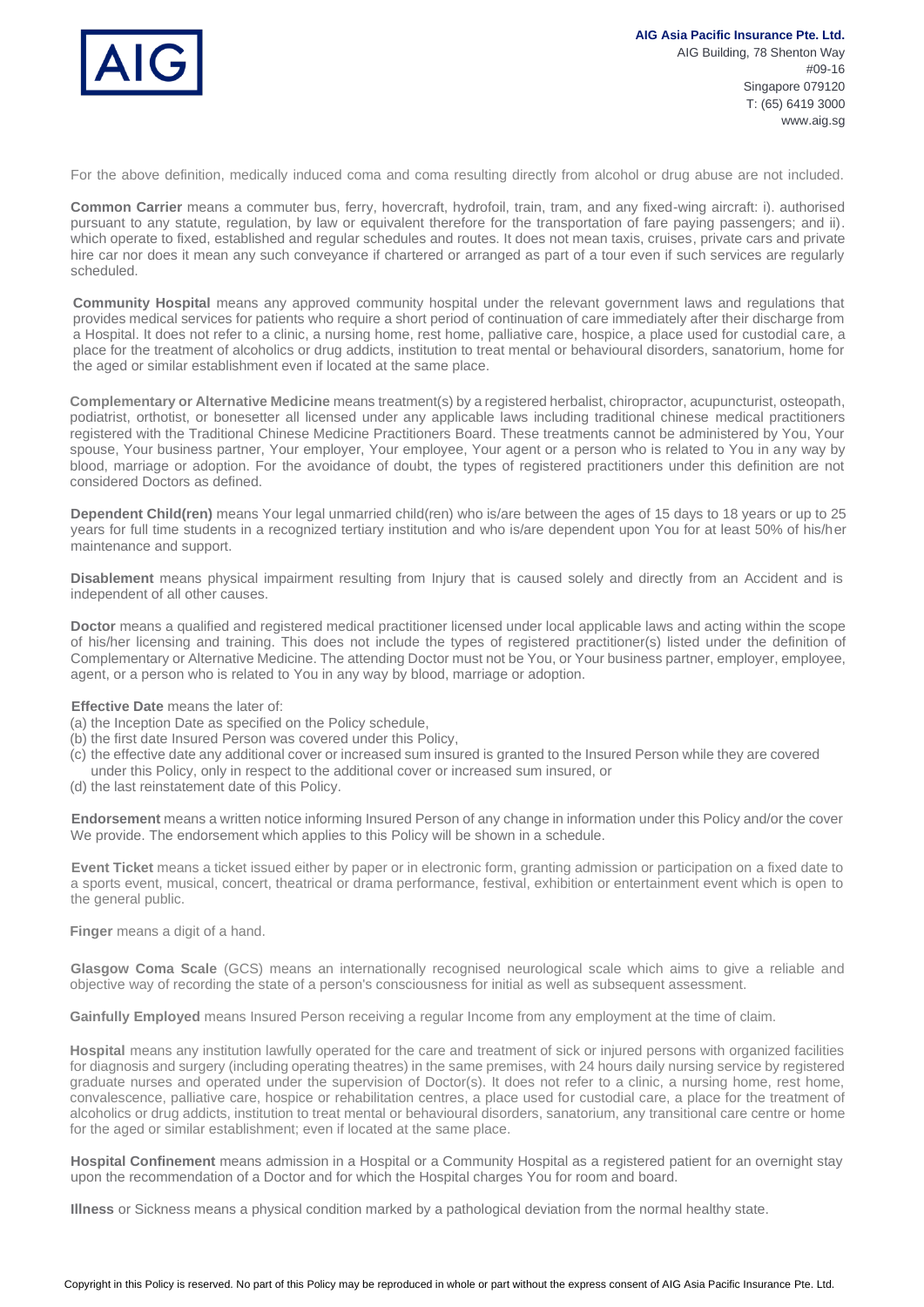

For the above definition, medically induced coma and coma resulting directly from alcohol or drug abuse are not included.

**Common Carrier** means a commuter bus, ferry, hovercraft, hydrofoil, train, tram, and any fixed-wing aircraft: i). authorised pursuant to any statute, regulation, by law or equivalent therefore for the transportation of fare paying passengers; and ii). which operate to fixed, established and regular schedules and routes. It does not mean taxis, cruises, private cars and private hire car nor does it mean any such conveyance if chartered or arranged as part of a tour even if such services are regularly scheduled.

**Community Hospital** means any approved community hospital under the relevant government laws and regulations that provides medical services for patients who require a short period of continuation of care immediately after their discharge from a Hospital. It does not refer to a clinic, a nursing home, rest home, palliative care, hospice, a place used for custodial care, a place for the treatment of alcoholics or drug addicts, institution to treat mental or behavioural disorders, sanatorium, home for the aged or similar establishment even if located at the same place.

**Complementary or Alternative Medicine** means treatment(s) by a registered herbalist, chiropractor, acupuncturist, osteopath, podiatrist, orthotist, or bonesetter all licensed under any applicable laws including traditional chinese medical practitioners registered with the Traditional Chinese Medicine Practitioners Board. These treatments cannot be administered by You, Your spouse, Your business partner, Your employer, Your employee, Your agent or a person who is related to You in any way by blood, marriage or adoption. For the avoidance of doubt, the types of registered practitioners under this definition are not considered Doctors as defined.

**Dependent Child(ren)** means Your legal unmarried child(ren) who is/are between the ages of 15 days to 18 years or up to 25 years for full time students in a recognized tertiary institution and who is/are dependent upon You for at least 50% of his/her maintenance and support.

**Disablement** means physical impairment resulting from Injury that is caused solely and directly from an Accident and is independent of all other causes.

**Doctor** means a qualified and registered medical practitioner licensed under local applicable laws and acting within the scope of his/her licensing and training. This does not include the types of registered practitioner(s) listed under the definition of Complementary or Alternative Medicine. The attending Doctor must not be You, or Your business partner, employer, employee, agent, or a person who is related to You in any way by blood, marriage or adoption.

## **Effective Date** means the later of:

- (a) the Inception Date as specified on the Policy schedule,
- (b) the first date Insured Person was covered under this Policy,
- (c) the effective date any additional cover or increased sum insured is granted to the Insured Person while they are covered under this Policy, only in respect to the additional cover or increased sum insured, or
- (d) the last reinstatement date of this Policy.

**Endorsement** means a written notice informing Insured Person of any change in information under this Policy and/or the cover We provide. The endorsement which applies to this Policy will be shown in a schedule.

**Event Ticket** means a ticket issued either by paper or in electronic form, granting admission or participation on a fixed date to a sports event, musical, concert, theatrical or drama performance, festival, exhibition or entertainment event which is open to the general public.

**Finger** means a digit of a hand.

**Glasgow Coma Scale** (GCS) means an internationally recognised neurological scale which aims to give a reliable and objective way of recording the state of a person's consciousness for initial as well as subsequent assessment.

**Gainfully Employed** means Insured Person receiving a regular Income from any employment at the time of claim.

**Hospital** means any institution lawfully operated for the care and treatment of sick or injured persons with organized facilities for diagnosis and surgery (including operating theatres) in the same premises, with 24 hours daily nursing service by registered graduate nurses and operated under the supervision of Doctor(s). It does not refer to a clinic, a nursing home, rest home, convalescence, palliative care, hospice or rehabilitation centres, a place used for custodial care, a place for the treatment of alcoholics or drug addicts, institution to treat mental or behavioural disorders, sanatorium, any transitional care centre or home for the aged or similar establishment; even if located at the same place.

**Hospital Confinement** means admission in a Hospital or a Community Hospital as a registered patient for an overnight stay upon the recommendation of a Doctor and for which the Hospital charges You for room and board.

**Illness** or Sickness means a physical condition marked by a pathological deviation from the normal healthy state.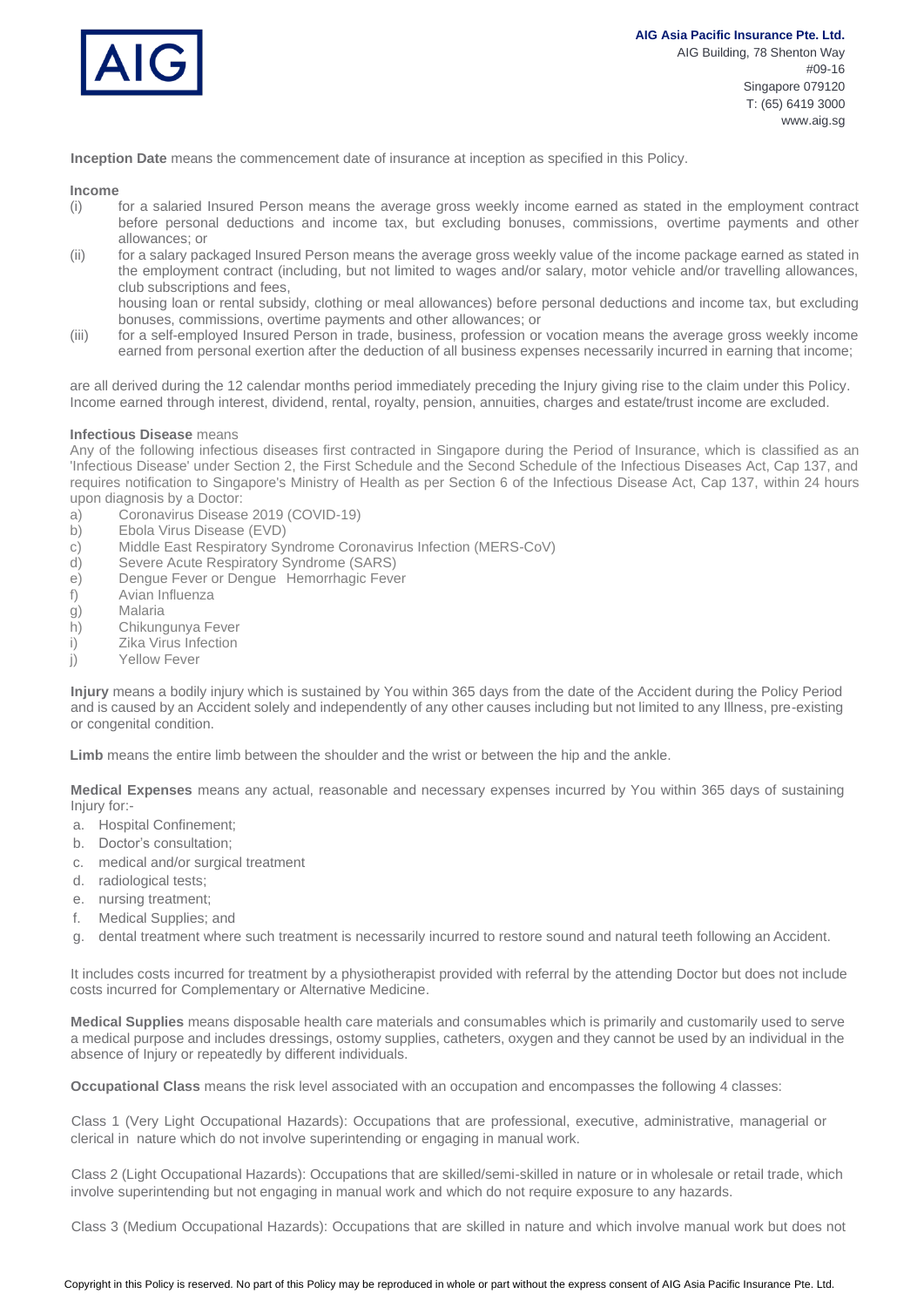

**Inception Date** means the commencement date of insurance at inception as specified in this Policy.

#### **Income**

- (i) for a salaried Insured Person means the average gross weekly income earned as stated in the employment contract before personal deductions and income tax, but excluding bonuses, commissions, overtime payments and other allowances; or
- (ii) for a salary packaged Insured Person means the average gross weekly value of the income package earned as stated in the employment contract (including, but not limited to wages and/or salary, motor vehicle and/or travelling allowances, club subscriptions and fees,

housing loan or rental subsidy, clothing or meal allowances) before personal deductions and income tax, but excluding bonuses, commissions, overtime payments and other allowances; or

(iii) for a self-employed Insured Person in trade, business, profession or vocation means the average gross weekly income earned from personal exertion after the deduction of all business expenses necessarily incurred in earning that income;

are all derived during the 12 calendar months period immediately preceding the Injury giving rise to the claim under this Policy. Income earned through interest, dividend, rental, royalty, pension, annuities, charges and estate/trust income are excluded.

### **Infectious Disease** means

Any of the following infectious diseases first contracted in Singapore during the Period of Insurance, which is classified as an 'Infectious Disease' under Section 2, the First Schedule and the Second Schedule of the Infectious Diseases Act, Cap 137, and requires notification to Singapore's Ministry of Health as per Section 6 of the Infectious Disease Act, Cap 137, within 24 hours upon diagnosis by a Doctor:

- a) Coronavirus Disease 2019 (COVID-19)
- b) Ebola Virus Disease (EVD)
- c) Middle East Respiratory Syndrome Coronavirus Infection (MERS-CoV)
- d) Severe Acute Respiratory Syndrome (SARS)
- e) Dengue Fever or Dengue Hemorrhagic Fever
- f) Avian Influenza
- g) Malaria
- h) Chikungunya Fever
- i) Zika Virus Infection
- j) Yellow Fever

**Injury** means a bodily injury which is sustained by You within 365 days from the date of the Accident during the Policy Period and is caused by an Accident solely and independently of any other causes including but not limited to any Illness, pre-existing or congenital condition.

**Limb** means the entire limb between the shoulder and the wrist or between the hip and the ankle.

**Medical Expenses** means any actual, reasonable and necessary expenses incurred by You within 365 days of sustaining Injury for:-

- a. Hospital Confinement;
- b. Doctor's consultation;
- c. medical and/or surgical treatment
- d. radiological tests;
- e. nursing treatment;
- f. Medical Supplies; and
- g. dental treatment where such treatment is necessarily incurred to restore sound and natural teeth following an Accident.

It includes costs incurred for treatment by a physiotherapist provided with referral by the attending Doctor but does not include costs incurred for Complementary or Alternative Medicine.

**Medical Supplies** means disposable health care materials and consumables which is primarily and customarily used to serve a medical purpose and includes dressings, ostomy supplies, catheters, oxygen and they cannot be used by an individual in the absence of Injury or repeatedly by different individuals.

**Occupational Class** means the risk level associated with an occupation and encompasses the following 4 classes:

Class 1 (Very Light Occupational Hazards): Occupations that are professional, executive, administrative, managerial or clerical in nature which do not involve superintending or engaging in manual work.

Class 2 (Light Occupational Hazards): Occupations that are skilled/semi-skilled in nature or in wholesale or retail trade, which involve superintending but not engaging in manual work and which do not require exposure to any hazards.

Class 3 (Medium Occupational Hazards): Occupations that are skilled in nature and which involve manual work but does not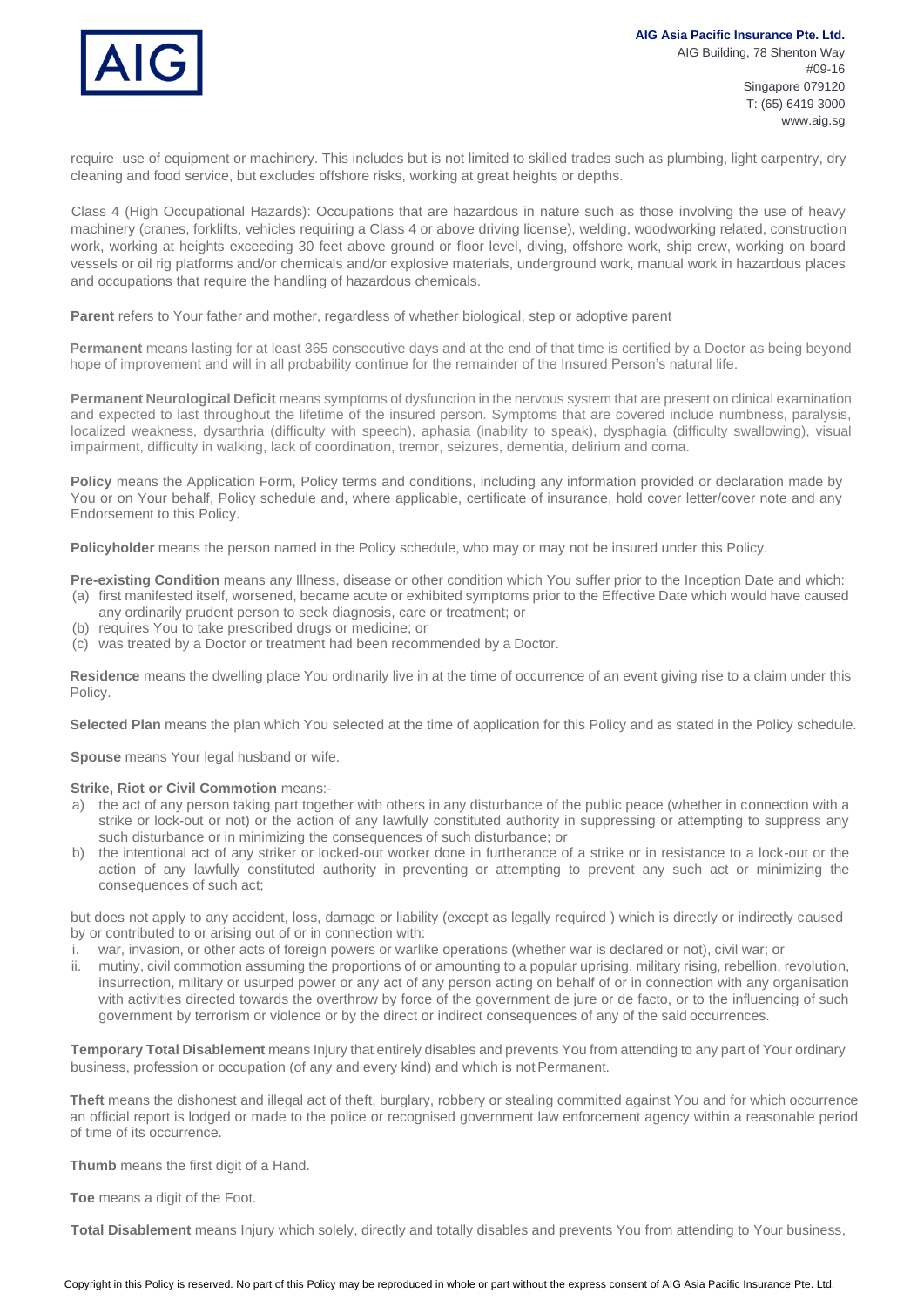

require use of equipment or machinery. This includes but is not limited to skilled trades such as plumbing, light carpentry, dry cleaning and food service, but excludes offshore risks, working at great heights or depths.

Class 4 (High Occupational Hazards): Occupations that are hazardous in nature such as those involving the use of heavy machinery (cranes, forklifts, vehicles requiring a Class 4 or above driving license), welding, woodworking related, construction work, working at heights exceeding 30 feet above ground or floor level, diving, offshore work, ship crew, working on board vessels or oil rig platforms and/or chemicals and/or explosive materials, underground work, manual work in hazardous places and occupations that require the handling of hazardous chemicals.

**Parent** refers to Your father and mother, regardless of whether biological, step or adoptive parent

**Permanent** means lasting for at least 365 consecutive days and at the end of that time is certified by a Doctor as being beyond hope of improvement and will in all probability continue for the remainder of the Insured Person's natural life.

**Permanent Neurological Deficit** means symptoms of dysfunction in the nervous system that are present on clinical examination and expected to last throughout the lifetime of the insured person. Symptoms that are covered include numbness, paralysis, localized weakness, dysarthria (difficulty with speech), aphasia (inability to speak), dysphagia (difficulty swallowing), visual impairment, difficulty in walking, lack of coordination, tremor, seizures, dementia, delirium and coma.

**Policy** means the Application Form, Policy terms and conditions, including any information provided or declaration made by You or on Your behalf, Policy schedule and, where applicable, certificate of insurance, hold cover letter/cover note and any Endorsement to this Policy.

**Policyholder** means the person named in the Policy schedule, who may or may not be insured under this Policy.

**Pre-existing Condition** means any Illness, disease or other condition which You suffer prior to the Inception Date and which: (a) first manifested itself, worsened, became acute or exhibited symptoms prior to the Effective Date which would have caused any ordinarily prudent person to seek diagnosis, care or treatment; or

- (b) requires You to take prescribed drugs or medicine; or
- (c) was treated by a Doctor or treatment had been recommended by a Doctor.

**Residence** means the dwelling place You ordinarily live in at the time of occurrence of an event giving rise to a claim under this Policy.

**Selected Plan** means the plan which You selected at the time of application for this Policy and as stated in the Policy schedule.

**Spouse** means Your legal husband or wife.

#### **Strike, Riot or Civil Commotion** means:-

- a) the act of any person taking part together with others in any disturbance of the public peace (whether in connection with a strike or lock-out or not) or the action of any lawfully constituted authority in suppressing or attempting to suppress any such disturbance or in minimizing the consequences of such disturbance; or
- b) the intentional act of any striker or locked-out worker done in furtherance of a strike or in resistance to a lock-out or the action of any lawfully constituted authority in preventing or attempting to prevent any such act or minimizing the consequences of such act;

but does not apply to any accident, loss, damage or liability (except as legally required ) which is directly or indirectly caused by or contributed to or arising out of or in connection with:

- i. war, invasion, or other acts of foreign powers or warlike operations (whether war is declared or not), civil war; or
- ii. mutiny, civil commotion assuming the proportions of or amounting to a popular uprising, military rising, rebellion, revolution, insurrection, military or usurped power or any act of any person acting on behalf of or in connection with any organisation with activities directed towards the overthrow by force of the government de jure or de facto, or to the influencing of such government by terrorism or violence or by the direct or indirect consequences of any of the said occurrences.

**Temporary Total Disablement** means Injury that entirely disables and prevents You from attending to any part of Your ordinary business, profession or occupation (of any and every kind) and which is not Permanent.

**Theft** means the dishonest and illegal act of theft, burglary, robbery or stealing committed against You and for which occurrence an official report is lodged or made to the police or recognised government law enforcement agency within a reasonable period of time of its occurrence.

**Thumb** means the first digit of a Hand.

**Toe** means a digit of the Foot.

**Total Disablement** means Injury which solely, directly and totally disables and prevents You from attending to Your business,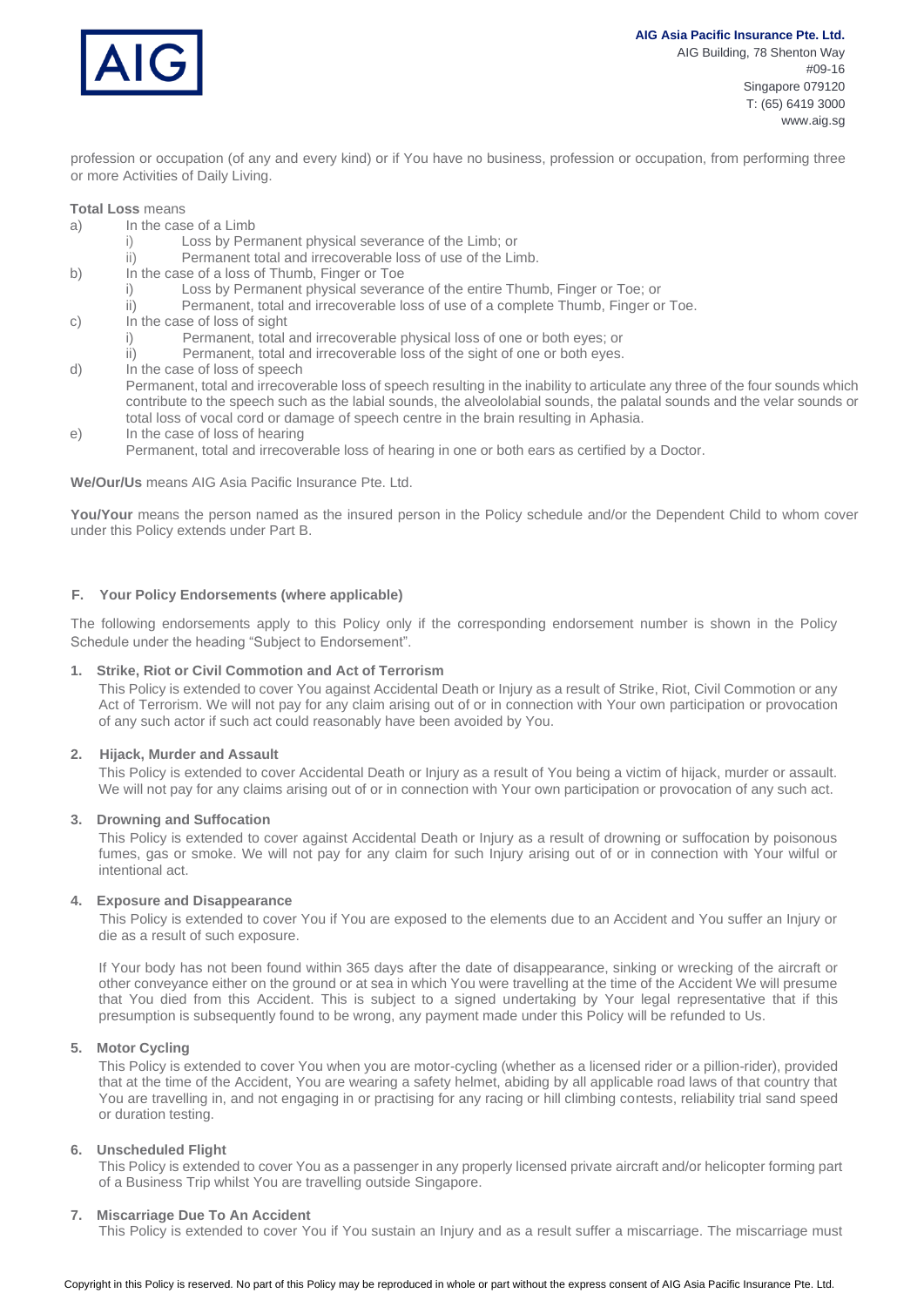

www.aig.sg

profession or occupation (of any and every kind) or if You have no business, profession or occupation, from performing three or more Activities of Daily Living.

#### **Total Loss** means

- a) In the case of a Limb
	- i) Loss by Permanent physical severance of the Limb; or
	- ii) Permanent total and irrecoverable loss of use of the Limb.
- b) In the case of a loss of Thumb, Finger or Toe
	- i) Loss by Permanent physical severance of the entire Thumb, Finger or Toe; or
	- ii) Permanent, total and irrecoverable loss of use of a complete Thumb, Finger or Toe.
- c) In the case of loss of sight
	- i) Permanent, total and irrecoverable physical loss of one or both eyes; or
	- ii) Permanent, total and irrecoverable loss of the sight of one or both eyes.
- d) In the case of loss of speech

Permanent, total and irrecoverable loss of speech resulting in the inability to articulate any three of the four sounds which contribute to the speech such as the labial sounds, the alveololabial sounds, the palatal sounds and the velar sounds or total loss of vocal cord or damage of speech centre in the brain resulting in Aphasia.

- e) In the case of loss of hearing
	- Permanent, total and irrecoverable loss of hearing in one or both ears as certified by a Doctor.

#### **We/Our/Us** means AIG Asia Pacific Insurance Pte. Ltd.

You/Your means the person named as the insured person in the Policy schedule and/or the Dependent Child to whom cover under this Policy extends under Part B.

## **F. Your Policy Endorsements (where applicable)**

The following endorsements apply to this Policy only if the corresponding endorsement number is shown in the Policy Schedule under the heading "Subject to Endorsement".

#### **1. Strike, Riot or Civil Commotion and Act of Terrorism**

This Policy is extended to cover You against Accidental Death or Injury as a result of Strike, Riot, Civil Commotion or any Act of Terrorism. We will not pay for any claim arising out of or in connection with Your own participation or provocation of any such actor if such act could reasonably have been avoided by You.

#### **2. Hijack, Murder and Assault**

This Policy is extended to cover Accidental Death or Injury as a result of You being a victim of hijack, murder or assault. We will not pay for any claims arising out of or in connection with Your own participation or provocation of any such act.

#### **3. Drowning and Suffocation**

This Policy is extended to cover against Accidental Death or Injury as a result of drowning or suffocation by poisonous fumes, gas or smoke. We will not pay for any claim for such Injury arising out of or in connection with Your wilful or intentional act.

#### **4. Exposure and Disappearance**

This Policy is extended to cover You if You are exposed to the elements due to an Accident and You suffer an Injury or die as a result of such exposure.

If Your body has not been found within 365 days after the date of disappearance, sinking or wrecking of the aircraft or other conveyance either on the ground or at sea in which You were travelling at the time of the Accident We will presume that You died from this Accident. This is subject to a signed undertaking by Your legal representative that if this presumption is subsequently found to be wrong, any payment made under this Policy will be refunded to Us.

#### **5. Motor Cycling**

This Policy is extended to cover You when you are motor-cycling (whether as a licensed rider or a pillion-rider), provided that at the time of the Accident, You are wearing a safety helmet, abiding by all applicable road laws of that country that You are travelling in, and not engaging in or practising for any racing or hill climbing contests, reliability trial sand speed or duration testing.

#### **6. Unscheduled Flight**

This Policy is extended to cover You as a passenger in any properly licensed private aircraft and/or helicopter forming part of a Business Trip whilst You are travelling outside Singapore.

#### **7. Miscarriage Due To An Accident**

This Policy is extended to cover You if You sustain an Injury and as a result suffer a miscarriage. The miscarriage must